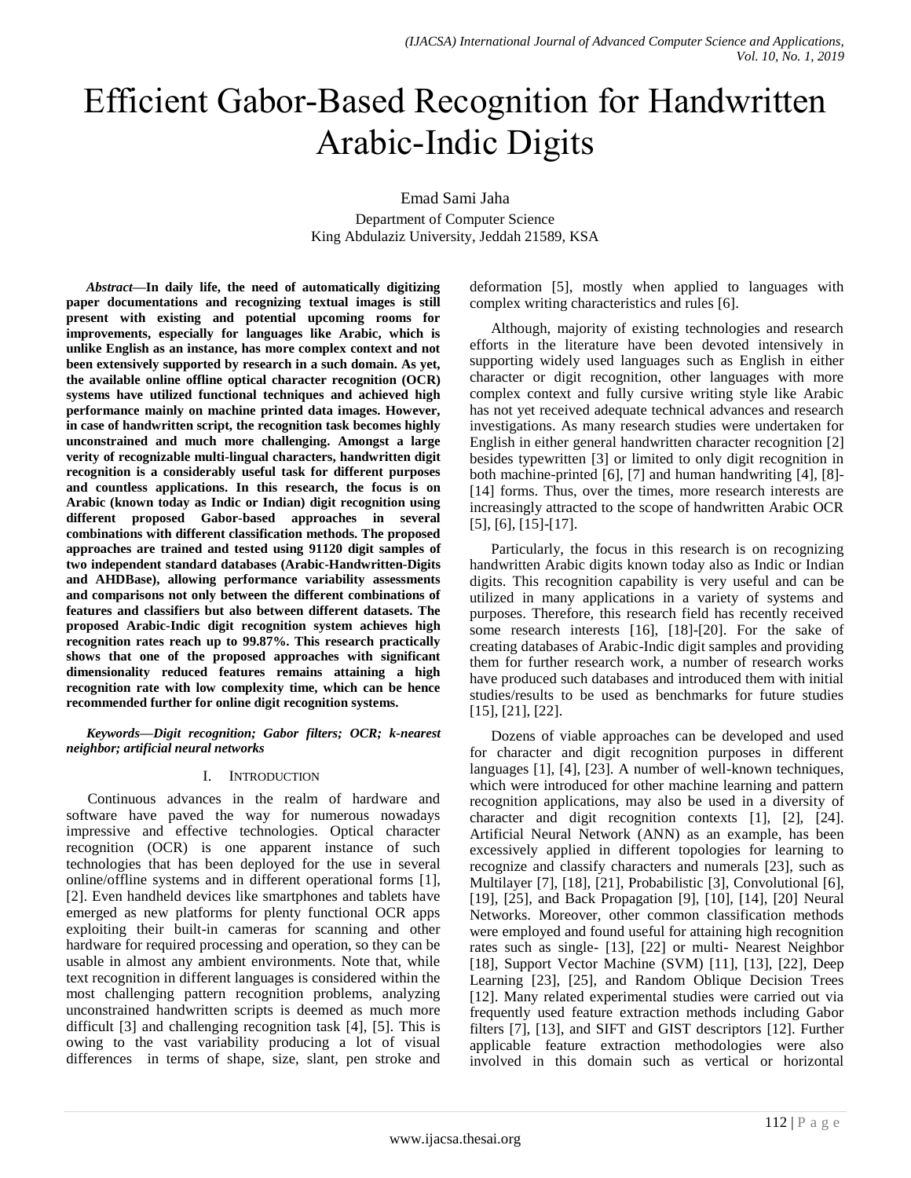# Efficient Gabor-Based Recognition for Handwritten Arabic-Indic Digits

Emad Sami Jaha

Department of Computer Science King Abdulaziz University, Jeddah 21589, KSA

*Abstract***—In daily life, the need of automatically digitizing paper documentations and recognizing textual images is still present with existing and potential upcoming rooms for improvements, especially for languages like Arabic, which is unlike English as an instance, has more complex context and not been extensively supported by research in a such domain. As yet, the available online offline optical character recognition (OCR) systems have utilized functional techniques and achieved high performance mainly on machine printed data images. However, in case of handwritten script, the recognition task becomes highly unconstrained and much more challenging. Amongst a large verity of recognizable multi-lingual characters, handwritten digit recognition is a considerably useful task for different purposes and countless applications. In this research, the focus is on Arabic (known today as Indic or Indian) digit recognition using different proposed Gabor-based approaches in several combinations with different classification methods. The proposed approaches are trained and tested using 91120 digit samples of two independent standard databases (Arabic-Handwritten-Digits and AHDBase), allowing performance variability assessments and comparisons not only between the different combinations of features and classifiers but also between different datasets. The proposed Arabic-Indic digit recognition system achieves high recognition rates reach up to 99.87%. This research practically shows that one of the proposed approaches with significant dimensionality reduced features remains attaining a high recognition rate with low complexity time, which can be hence recommended further for online digit recognition systems.**

*Keywords—Digit recognition; Gabor filters; OCR; k-nearest neighbor; artificial neural networks*

## I. INTRODUCTION

Continuous advances in the realm of hardware and software have paved the way for numerous nowadays impressive and effective technologies. Optical character recognition (OCR) is one apparent instance of such technologies that has been deployed for the use in several online/offline systems and in different operational forms [1], [2]. Even handheld devices like smartphones and tablets have emerged as new platforms for plenty functional OCR apps exploiting their built-in cameras for scanning and other hardware for required processing and operation, so they can be usable in almost any ambient environments. Note that, while text recognition in different languages is considered within the most challenging pattern recognition problems, analyzing unconstrained handwritten scripts is deemed as much more difficult [3] and challenging recognition task [4], [5]. This is owing to the vast variability producing a lot of visual differences in terms of shape, size, slant, pen stroke and deformation [5], mostly when applied to languages with complex writing characteristics and rules [6].

Although, majority of existing technologies and research efforts in the literature have been devoted intensively in supporting widely used languages such as English in either character or digit recognition, other languages with more complex context and fully cursive writing style like Arabic has not yet received adequate technical advances and research investigations. As many research studies were undertaken for English in either general handwritten character recognition [2] besides typewritten [3] or limited to only digit recognition in both machine-printed [6], [7] and human handwriting [4], [8]- [14] forms. Thus, over the times, more research interests are increasingly attracted to the scope of handwritten Arabic OCR [5], [6], [15]-[17].

Particularly, the focus in this research is on recognizing handwritten Arabic digits known today also as Indic or Indian digits. This recognition capability is very useful and can be utilized in many applications in a variety of systems and purposes. Therefore, this research field has recently received some research interests [16], [18]-[20]. For the sake of creating databases of Arabic-Indic digit samples and providing them for further research work, a number of research works have produced such databases and introduced them with initial studies/results to be used as benchmarks for future studies [15], [21], [22].

Dozens of viable approaches can be developed and used for character and digit recognition purposes in different languages [1], [4], [23]. A number of well-known techniques, which were introduced for other machine learning and pattern recognition applications, may also be used in a diversity of character and digit recognition contexts [1], [2], [24]. Artificial Neural Network (ANN) as an example, has been excessively applied in different topologies for learning to recognize and classify characters and numerals [23], such as Multilayer [7], [18], [21], Probabilistic [3], Convolutional [6], [19], [25], and Back Propagation [9], [10], [14], [20] Neural Networks. Moreover, other common classification methods were employed and found useful for attaining high recognition rates such as single- [13], [22] or multi- Nearest Neighbor [18], Support Vector Machine (SVM) [11], [13], [22], Deep Learning [23], [25], and Random Oblique Decision Trees [12]. Many related experimental studies were carried out via frequently used feature extraction methods including Gabor filters [7], [13], and SIFT and GIST descriptors [12]. Further applicable feature extraction methodologies were also involved in this domain such as vertical or horizontal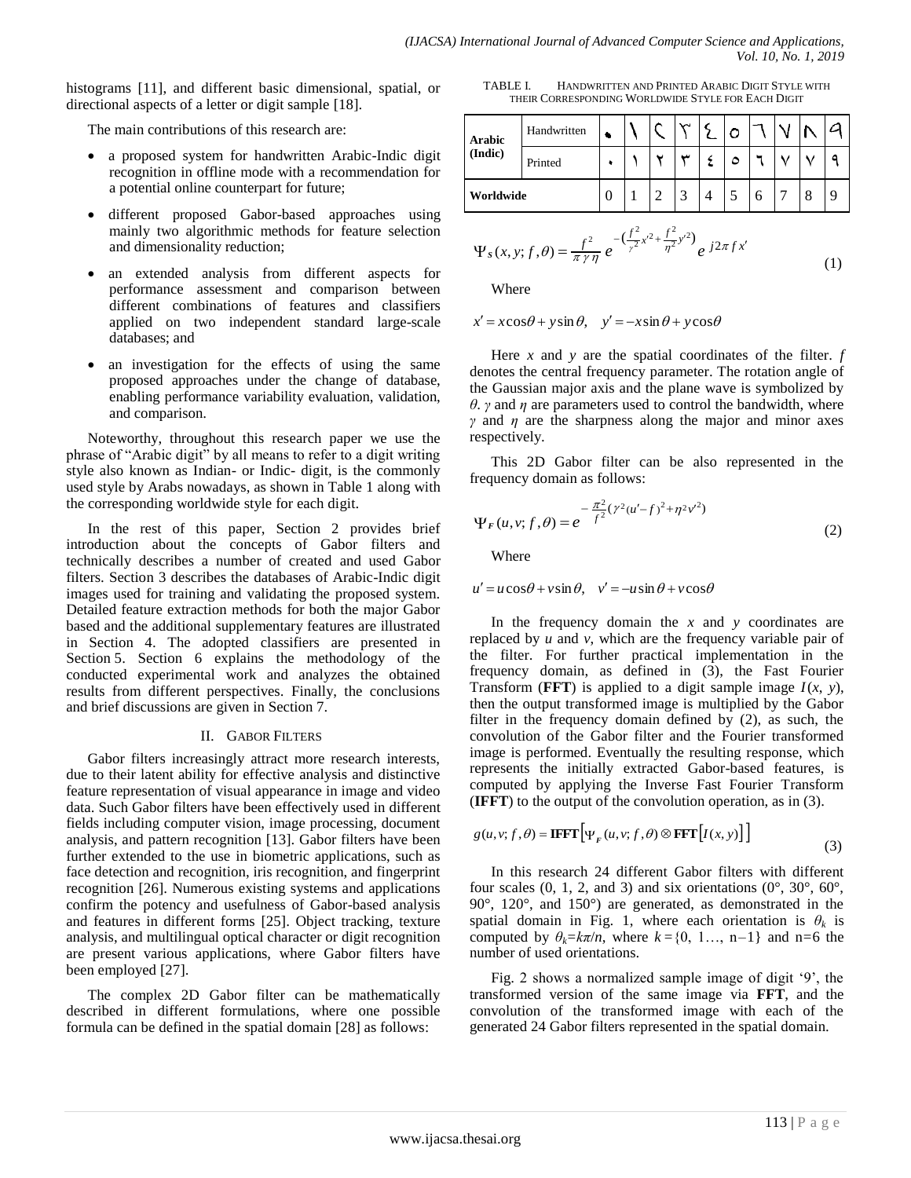histograms [11], and different basic dimensional, spatial, or directional aspects of a letter or digit sample [18].

The main contributions of this research are:

- a proposed system for handwritten Arabic-Indic digit recognition in offline mode with a recommendation for a potential online counterpart for future;
- different proposed Gabor-based approaches using mainly two algorithmic methods for feature selection and dimensionality reduction;
- an extended analysis from different aspects for performance assessment and comparison between different combinations of features and classifiers applied on two independent standard large-scale databases; and
- an investigation for the effects of using the same proposed approaches under the change of database, enabling performance variability evaluation, validation, and comparison.

Noteworthy, throughout this research paper we use the phrase of "Arabic digit" by all means to refer to a digit writing style also known as Indian- or Indic- digit, is the commonly used style by Arabs nowadays, as shown in Table 1 along with the corresponding worldwide style for each digit.

In the rest of this paper, Section 2 provides brief introduction about the concepts of Gabor filters and technically describes a number of created and used Gabor filters. Section 3 describes the databases of Arabic-Indic digit images used for training and validating the proposed system. Detailed feature extraction methods for both the major Gabor based and the additional supplementary features are illustrated in Section 4. The adopted classifiers are presented in Section 5. Section 6 explains the methodology of the conducted experimental work and analyzes the obtained results from different perspectives. Finally, the conclusions and brief discussions are given in Section 7.

## II. GABOR FILTERS

Gabor filters increasingly attract more research interests, due to their latent ability for effective analysis and distinctive feature representation of visual appearance in image and video data. Such Gabor filters have been effectively used in different fields including computer vision, image processing, document analysis, and pattern recognition [13]. Gabor filters have been further extended to the use in biometric applications, such as face detection and recognition, iris recognition, and fingerprint recognition [26]. Numerous existing systems and applications confirm the potency and usefulness of Gabor-based analysis and features in different forms [25]. Object tracking, texture analysis, and multilingual optical character or digit recognition are present various applications, where Gabor filters have been employed [27].

The complex 2D Gabor filter can be mathematically described in different formulations, where one possible formula can be defined in the spatial domain [28] as follows:

TABLE I. HANDWRITTEN AND PRINTED ARABIC DIGIT STYLE WITH THEIR CORRESPONDING WORLDWIDE STYLE FOR EACH DIGIT

| <b>Arabic</b><br>(Indic) | Handwritten | ٠ |                                    | ◠          | $\sim$ | O |        |  |  |
|--------------------------|-------------|---|------------------------------------|------------|--------|---|--------|--|--|
|                          | Printed     |   |                                    |            | سه     | ٥ |        |  |  |
| Worldwide                | 0           |   | ◠                                  | $\sqrt{2}$ |        |   | o<br>O |  |  |
|                          |             |   | $\sim$ $\sim$ $\sim$ $\sim$ $\sim$ |            | $\sim$ |   |        |  |  |

$$
\Psi_{s}(x, y; f, \theta) = \frac{f^{2}}{\pi \gamma \eta} e^{-\left(\frac{f^{2}}{\gamma^{2}}x^{2} + \frac{f^{2}}{\eta^{2}}y^{2}\right)} e^{j2\pi f x'} \tag{1}
$$

Where

 $x' = x\cos\theta + y\sin\theta$ ,  $y' = -x\sin\theta + y\cos\theta$ 

Here *x* and *y* are the spatial coordinates of the filter. *f* denotes the central frequency parameter. The rotation angle of the Gaussian major axis and the plane wave is symbolized by *θ*. *γ* and *η* are parameters used to control the bandwidth, where *γ* and *η* are the sharpness along the major and minor axes respectively.

This 2D Gabor filter can be also represented in the frequency domain as follows:

$$
\Psi_F(u, v; f, \theta) = e^{-\frac{\pi^2}{f^2} (\gamma^2 (u' - f)^2 + \eta^2 v'^2)}
$$
\n(2)

Where

 $u' = u\cos\theta + v\sin\theta$ ,  $v' = -u\sin\theta + v\cos\theta$ 

In the frequency domain the *x* and *y* coordinates are replaced by *u* and *v*, which are the frequency variable pair of the filter. For further practical implementation in the frequency domain, as defined in  $(3)$ , the Fast Fourier Transform (**FFT**) is applied to a digit sample image  $I(x, y)$ , then the output transformed image is multiplied by the Gabor filter in the frequency domain defined by (2), as such, the convolution of the Gabor filter and the Fourier transformed image is performed. Eventually the resulting response, which represents the initially extracted Gabor-based features, is computed by applying the Inverse Fast Fourier Transform (**IFFT**) to the output of the convolution operation, as in (3).

$$
g(u, v; f, \theta) = \mathbf{IFFT}\Big[\Psi_F(u, v; f, \theta) \otimes \mathbf{FFT}\Big[I(x, y)\Big]\Big]
$$
\n(3)

In this research 24 different Gabor filters with different four scales  $(0, 1, 2,$  and 3) and six orientations  $(0^{\circ}, 30^{\circ}, 60^{\circ})$ , 90°, 120°, and 150°) are generated, as demonstrated in the spatial domain in Fig. 1, where each orientation is  $\theta_k$  is computed by  $\theta_k = k\pi/n$ , where  $k = \{0, 1, \ldots, n-1\}$  and  $n = 6$  the number of used orientations.

Fig. 2 shows a normalized sample image of digit "9", the transformed version of the same image via **FFT**, and the convolution of the transformed image with each of the generated 24 Gabor filters represented in the spatial domain.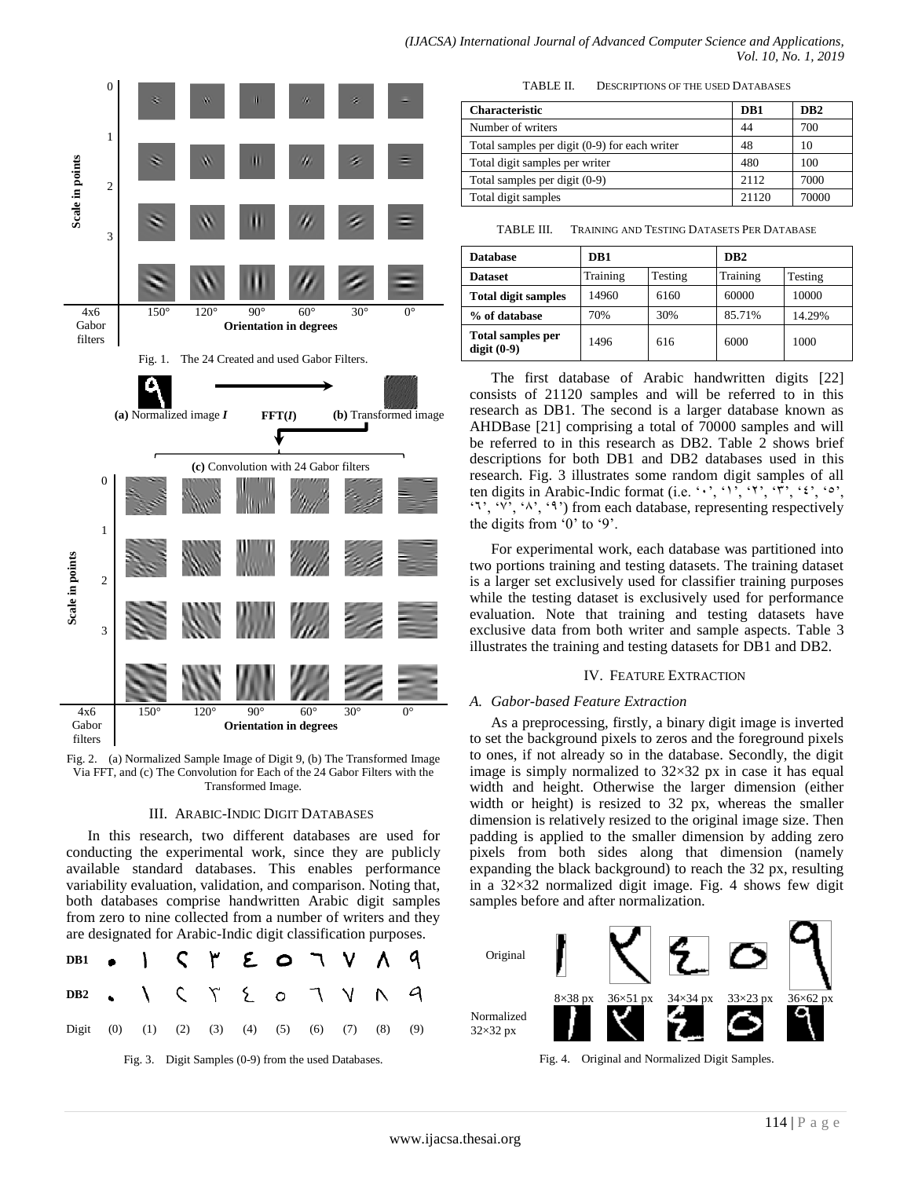

Fig. 2. (a) Normalized Sample Image of Digit 9, (b) The Transformed Image Via FFT, and (c) The Convolution for Each of the 24 Gabor Filters with the Transformed Image.

#### III. ARABIC-INDIC DIGIT DATABASES

In this research, two different databases are used for conducting the experimental work, since they are publicly available standard databases. This enables performance variability evaluation, validation, and comparison. Noting that, both databases comprise handwritten Arabic digit samples from zero to nine collected from a number of writers and they are designated for Arabic-Indic digit classification purposes.

| DB1 . I C Y E O T V A 9                       |  |  |  |  |  |
|-----------------------------------------------|--|--|--|--|--|
| DB2 \ \ \ \ \ \ \ O                           |  |  |  |  |  |
| Digit (0) (1) (2) (3) (4) (5) (6) (7) (8) (9) |  |  |  |  |  |



TABLE II. DESCRIPTIONS OF THE USED DATABASES

| <b>Characteristic</b>                         | DB1   | D <sub>R</sub> 2 |
|-----------------------------------------------|-------|------------------|
| Number of writers                             | 44    | 700              |
| Total samples per digit (0-9) for each writer | 48    | 10               |
| Total digit samples per writer                | 480   | 100              |
| Total samples per digit (0-9)                 | 2.112 | 7000             |
| Total digit samples                           | 21120 | 70000            |

TABLE III. TRAINING AND TESTING DATASETS PER DATABASE

| <b>Database</b>                    | DB1      |         | DB <sub>2</sub> |         |  |  |
|------------------------------------|----------|---------|-----------------|---------|--|--|
| <b>Dataset</b>                     | Training | Testing | Training        | Testing |  |  |
| <b>Total digit samples</b>         | 14960    | 6160    | 60000           | 10000   |  |  |
| % of database                      | 70%      | 30%     | 85.71%          | 14.29%  |  |  |
| Total samples per<br>digit $(0-9)$ | 1496     | 616     | 6000            | 1000    |  |  |

The first database of Arabic handwritten digits [22] consists of 21120 samples and will be referred to in this research as DB1. The second is a larger database known as AHDBase [21] comprising a total of 70000 samples and will be referred to in this research as DB2. Table 2 shows brief descriptions for both DB1 and DB2 databases used in this research. Fig. 3 illustrates some random digit samples of all ten digits in Arabic-Indic format (i.e. " $\cdot$ ", "', ", ",", "',", "o", "۶", "۷", "۸", "۹") from each database, representing respectively the digits from  $0'$  to  $9'$ .

For experimental work, each database was partitioned into two portions training and testing datasets. The training dataset is a larger set exclusively used for classifier training purposes while the testing dataset is exclusively used for performance evaluation. Note that training and testing datasets have exclusive data from both writer and sample aspects. Table 3 illustrates the training and testing datasets for DB1 and DB2.

#### IV. FEATURE EXTRACTION

#### *A. Gabor-based Feature Extraction*

As a preprocessing, firstly, a binary digit image is inverted to set the background pixels to zeros and the foreground pixels to ones, if not already so in the database. Secondly, the digit image is simply normalized to  $32\times32$  px in case it has equal width and height. Otherwise the larger dimension (either width or height) is resized to 32 px, whereas the smaller dimension is relatively resized to the original image size. Then padding is applied to the smaller dimension by adding zero pixels from both sides along that dimension (namely expanding the black background) to reach the 32 px, resulting in a 32×32 normalized digit image. Fig. 4 shows few digit samples before and after normalization.



Fig. 4. Original and Normalized Digit Samples.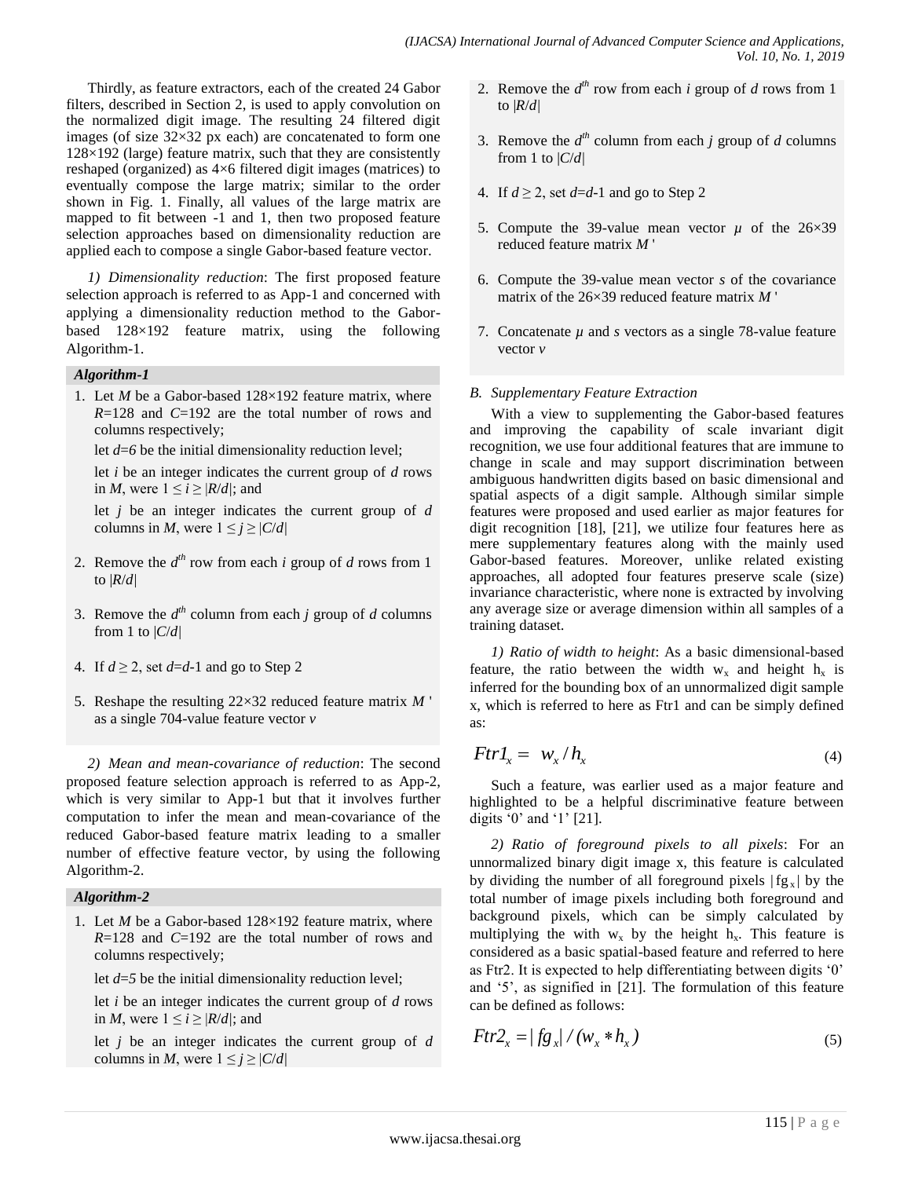Thirdly, as feature extractors, each of the created 24 Gabor filters, described in Section 2, is used to apply convolution on the normalized digit image. The resulting 24 filtered digit images (of size  $32\times32$  px each) are concatenated to form one  $128\times192$  (large) feature matrix, such that they are consistently reshaped (organized) as 4×6 filtered digit images (matrices) to eventually compose the large matrix; similar to the order shown in Fig. 1. Finally, all values of the large matrix are mapped to fit between -1 and 1, then two proposed feature selection approaches based on dimensionality reduction are applied each to compose a single Gabor-based feature vector.

*1) Dimensionality reduction*: The first proposed feature selection approach is referred to as App-1 and concerned with applying a dimensionality reduction method to the Gaborbased 128×192 feature matrix, using the following Algorithm-1.

#### *Algorithm-1*

1. Let *M* be a Gabor-based 128×192 feature matrix, where *R*=128 and *C*=192 are the total number of rows and columns respectively;

let *d*=*6* be the initial dimensionality reduction level;

let *i* be an integer indicates the current group of *d* rows in *M*, were  $1 \le i \ge |R/d|$ ; and

let *j* be an integer indicates the current group of *d*  columns in *M*, were  $1 \le j \le |C/d|$ 

- 2. Remove the  $d^{th}$  row from each *i* group of *d* rows from 1 to |*R*/*d|*
- 3. Remove the  $d^{th}$  column from each *j* group of *d* columns from 1 to |*C*/*d|*
- 4. If  $d \ge 2$ , set  $d=d-1$  and go to Step 2
- 5. Reshape the resulting 22×32 reduced feature matrix *M* ' as a single 704-value feature vector *v*

*2) Mean and mean-covariance of reduction*: The second proposed feature selection approach is referred to as App-2, which is very similar to App-1 but that it involves further computation to infer the mean and mean-covariance of the reduced Gabor-based feature matrix leading to a smaller number of effective feature vector, by using the following Algorithm-2.

## *Algorithm-2*

1. Let *M* be a Gabor-based 128×192 feature matrix, where *R*=128 and *C*=192 are the total number of rows and columns respectively;

let *d*=*5* be the initial dimensionality reduction level;

let *i* be an integer indicates the current group of *d* rows in *M*, were  $1 \le i \ge |R/d|$ ; and

let *j* be an integer indicates the current group of *d* columns in *M*, were  $1 \le j \le |C/d|$ 

- 2. Remove the  $d^{th}$  row from each *i* group of *d* rows from 1 to |*R*/*d|*
- 3. Remove the  $d^{th}$  column from each *j* group of *d* columns from 1 to |*C*/*d|*
- 4. If  $d \ge 2$ , set  $d=d-1$  and go to Step 2
- 5. Compute the 39-value mean vector  $\mu$  of the 26×39 reduced feature matrix *M* '
- 6. Compute the 39-value mean vector *s* of the covariance matrix of the 26×39 reduced feature matrix *M* '
- 7. Concatenate *µ* and *s* vectors as a single 78-value feature vector *v*

## *B. Supplementary Feature Extraction*

With a view to supplementing the Gabor-based features and improving the capability of scale invariant digit recognition, we use four additional features that are immune to change in scale and may support discrimination between ambiguous handwritten digits based on basic dimensional and spatial aspects of a digit sample. Although similar simple features were proposed and used earlier as major features for digit recognition [18], [21], we utilize four features here as mere supplementary features along with the mainly used Gabor-based features. Moreover, unlike related existing approaches, all adopted four features preserve scale (size) invariance characteristic, where none is extracted by involving any average size or average dimension within all samples of a training dataset.

*1) Ratio of width to height*: As a basic dimensional-based feature, the ratio between the width  $w_x$  and height  $h_x$  is inferred for the bounding box of an unnormalized digit sample x, which is referred to here as Ftr1 and can be simply defined as:

$$
Ftr I_x = w_x / h_x \tag{4}
$$

Such a feature, was earlier used as a major feature and highlighted to be a helpful discriminative feature between digits  $0'$  and  $1'$  [21].

*2) Ratio of foreground pixels to all pixels*: For an unnormalized binary digit image x, this feature is calculated by dividing the number of all foreground pixels  $|fg_x|$  by the total number of image pixels including both foreground and background pixels, which can be simply calculated by multiplying the with  $w_x$  by the height  $h_x$ . This feature is considered as a basic spatial-based feature and referred to here as Ftr2. It is expected to help differentiating between digits '0' and  $\mathfrak{S}'$ , as signified in [21]. The formulation of this feature can be defined as follows:

$$
Ftr2_x = f g_x / (w_x * h_x)
$$
 (5)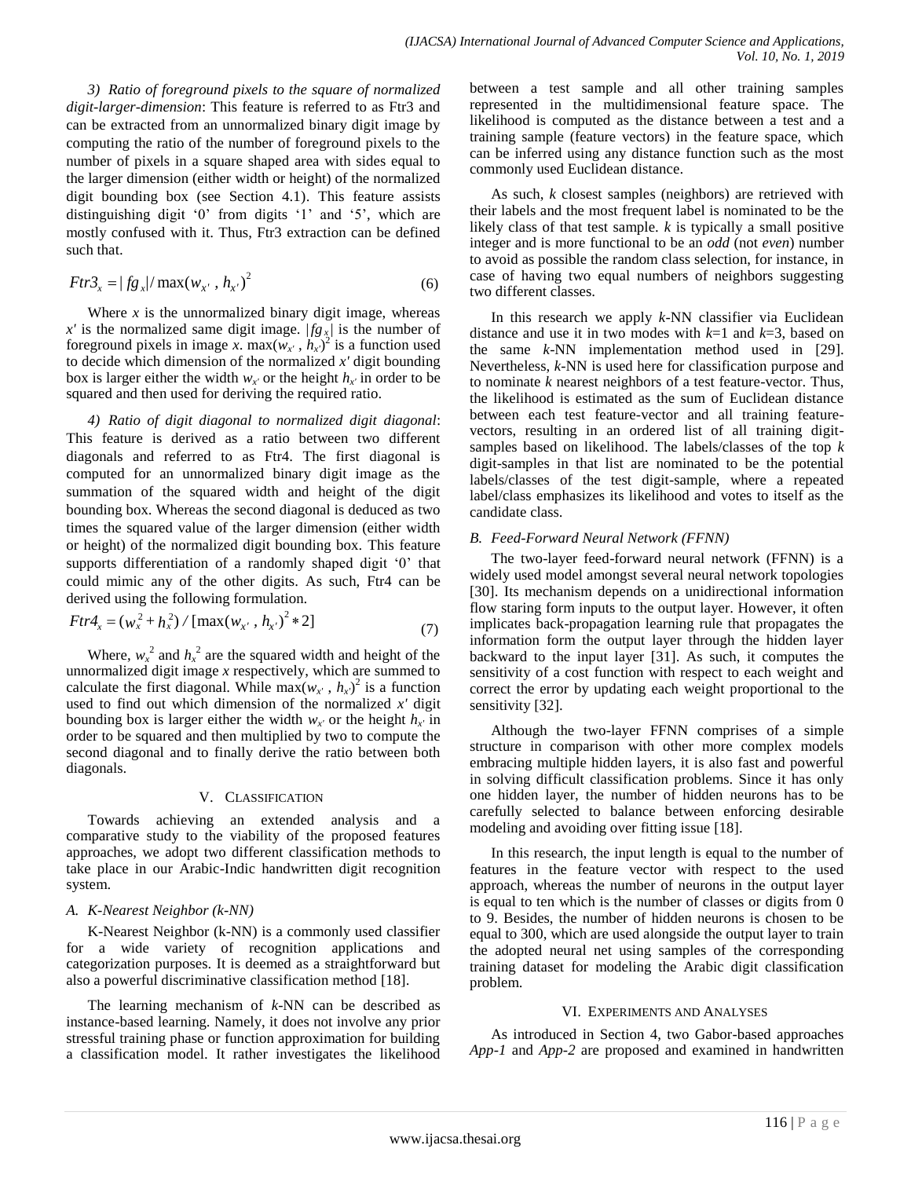*3) Ratio of foreground pixels to the square of normalized digit-larger-dimension*: This feature is referred to as Ftr3 and can be extracted from an unnormalized binary digit image by computing the ratio of the number of foreground pixels to the number of pixels in a square shaped area with sides equal to the larger dimension (either width or height) of the normalized digit bounding box (see Section 4.1). This feature assists distinguishing digit '0' from digits '1' and '5', which are mostly confused with it. Thus, Ftr3 extraction can be defined such that.

$$
Ftr3_x = /fg_x / max(w_{x'}, h_{x'})^2
$$
 (6)

Where *x* is the unnormalized binary digit image, whereas x' is the normalized same digit image.  $|fg_x|$  is the number of foreground pixels in image *x*. max $(w_x, k_y)^2$  is a function used to decide which dimension of the normalized *x'* digit bounding box is larger either the width  $w_x$ ' or the height  $h_x$ ' in order to be squared and then used for deriving the required ratio.

*4) Ratio of digit diagonal to normalized digit diagonal*: This feature is derived as a ratio between two different diagonals and referred to as Ftr4. The first diagonal is computed for an unnormalized binary digit image as the summation of the squared width and height of the digit bounding box. Whereas the second diagonal is deduced as two times the squared value of the larger dimension (either width or height) of the normalized digit bounding box. This feature supports differentiation of a randomly shaped digit '0' that could mimic any of the other digits. As such, Ftr4 can be derived using the following formulation.

$$
Ftr4_x = (w_x^2 + h_x^2) / [\max(w_{x'}, h_{x'})^2 * 2]
$$
\n(7)

Where,  $w_x^2$  and  $h_x^2$  are the squared width and height of the unnormalized digit image *x* respectively, which are summed to calculate the first diagonal. While  $\max(w_{x'}, h_{x'})^2$  is a function used to find out which dimension of the normalized *x'* digit bounding box is larger either the width  $w_{x}$  or the height  $h_{x}$  in order to be squared and then multiplied by two to compute the second diagonal and to finally derive the ratio between both diagonals.

## V. CLASSIFICATION

Towards achieving an extended analysis and a comparative study to the viability of the proposed features approaches, we adopt two different classification methods to take place in our Arabic-Indic handwritten digit recognition system.

# *A. K-Nearest Neighbor (k-NN)*

K-Nearest Neighbor (k-NN) is a commonly used classifier for a wide variety of recognition applications and categorization purposes. It is deemed as a straightforward but also a powerful discriminative classification method [18].

The learning mechanism of *k*-NN can be described as instance-based learning. Namely, it does not involve any prior stressful training phase or function approximation for building a classification model. It rather investigates the likelihood between a test sample and all other training samples represented in the multidimensional feature space. The likelihood is computed as the distance between a test and a training sample (feature vectors) in the feature space, which can be inferred using any distance function such as the most commonly used Euclidean distance.

As such, *k* closest samples (neighbors) are retrieved with their labels and the most frequent label is nominated to be the likely class of that test sample. *k* is typically a small positive integer and is more functional to be an *odd* (not *even*) number to avoid as possible the random class selection, for instance, in case of having two equal numbers of neighbors suggesting two different classes.

In this research we apply *k*-NN classifier via Euclidean distance and use it in two modes with *k*=1 and *k*=3, based on the same *k*-NN implementation method used in [29]. Nevertheless, *k*-NN is used here for classification purpose and to nominate *k* nearest neighbors of a test feature-vector. Thus, the likelihood is estimated as the sum of Euclidean distance between each test feature-vector and all training featurevectors, resulting in an ordered list of all training digitsamples based on likelihood. The labels/classes of the top *k* digit-samples in that list are nominated to be the potential labels/classes of the test digit-sample, where a repeated label/class emphasizes its likelihood and votes to itself as the candidate class.

# *B. Feed-Forward Neural Network (FFNN)*

The two-layer feed-forward neural network (FFNN) is a widely used model amongst several neural network topologies [30]. Its mechanism depends on a unidirectional information flow staring form inputs to the output layer. However, it often implicates back-propagation learning rule that propagates the information form the output layer through the hidden layer backward to the input layer [31]. As such, it computes the sensitivity of a cost function with respect to each weight and correct the error by updating each weight proportional to the sensitivity [32].

Although the two-layer FFNN comprises of a simple structure in comparison with other more complex models embracing multiple hidden layers, it is also fast and powerful in solving difficult classification problems. Since it has only one hidden layer, the number of hidden neurons has to be carefully selected to balance between enforcing desirable modeling and avoiding over fitting issue [18].

In this research, the input length is equal to the number of features in the feature vector with respect to the used approach, whereas the number of neurons in the output layer is equal to ten which is the number of classes or digits from 0 to 9. Besides, the number of hidden neurons is chosen to be equal to 300, which are used alongside the output layer to train the adopted neural net using samples of the corresponding training dataset for modeling the Arabic digit classification problem.

# VI. EXPERIMENTS AND ANALYSES

As introduced in Section 4, two Gabor-based approaches *App-1* and *App-2* are proposed and examined in handwritten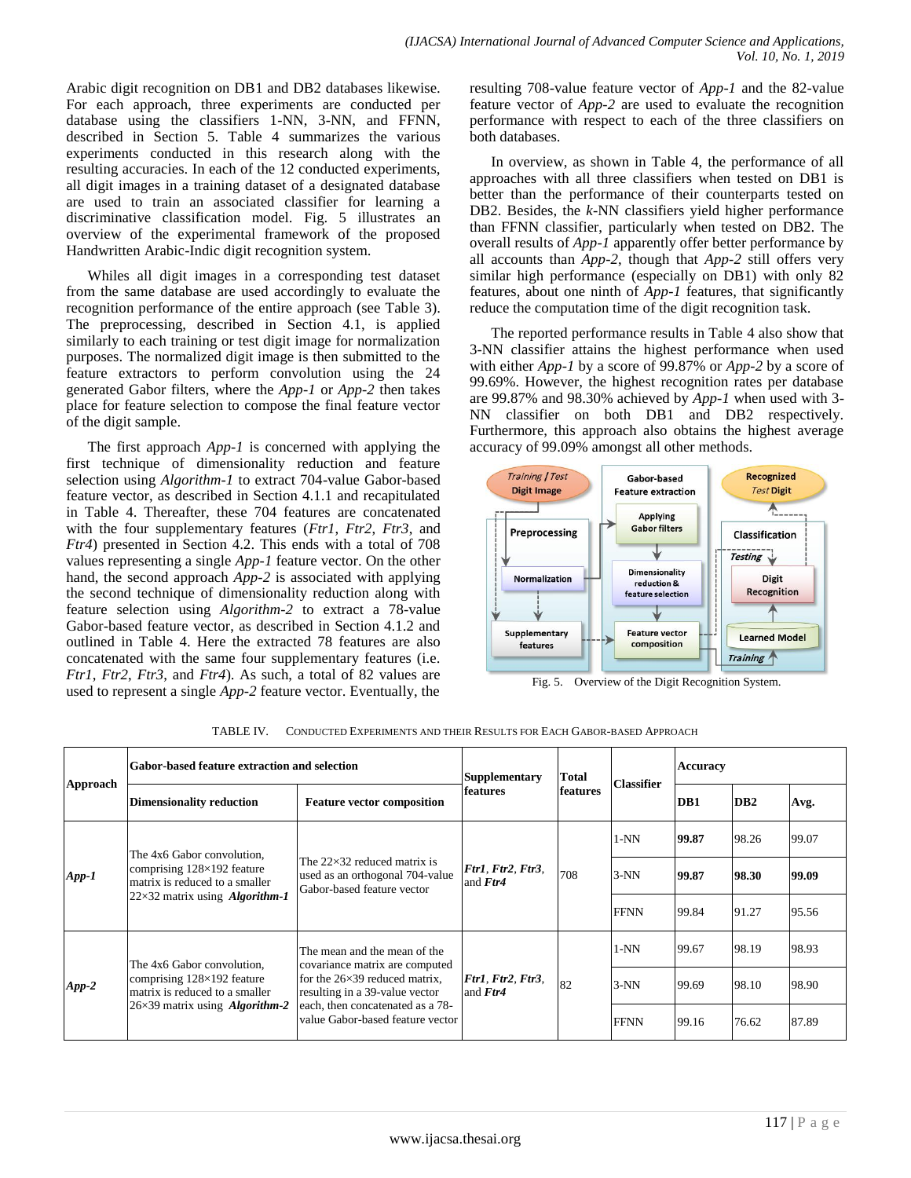Arabic digit recognition on DB1 and DB2 databases likewise. For each approach, three experiments are conducted per database using the classifiers 1-NN, 3-NN, and FFNN, described in Section 5. Table 4 summarizes the various experiments conducted in this research along with the resulting accuracies. In each of the 12 conducted experiments, all digit images in a training dataset of a designated database are used to train an associated classifier for learning a discriminative classification model. Fig. 5 illustrates an overview of the experimental framework of the proposed Handwritten Arabic-Indic digit recognition system.

Whiles all digit images in a corresponding test dataset from the same database are used accordingly to evaluate the recognition performance of the entire approach (see Table 3). The preprocessing, described in Section 4.1, is applied similarly to each training or test digit image for normalization purposes. The normalized digit image is then submitted to the feature extractors to perform convolution using the 24 generated Gabor filters, where the *App-1* or *App-2* then takes place for feature selection to compose the final feature vector of the digit sample.

The first approach *App-1* is concerned with applying the first technique of dimensionality reduction and feature selection using *Algorithm-1* to extract 704-value Gabor-based feature vector, as described in Section 4.1.1 and recapitulated in Table 4. Thereafter, these 704 features are concatenated with the four supplementary features (*Ftr1*, *Ftr2*, *Ftr3*, and *Ftr4*) presented in Section 4.2. This ends with a total of 708 values representing a single *App-1* feature vector. On the other hand, the second approach *App-2* is associated with applying the second technique of dimensionality reduction along with feature selection using *Algorithm-2* to extract a 78-value Gabor-based feature vector, as described in Section 4.1.2 and outlined in Table 4. Here the extracted 78 features are also concatenated with the same four supplementary features (i.e. *Ftr1*, *Ftr2*, *Ftr3*, and *Ftr4*). As such, a total of 82 values are used to represent a single *App-2* feature vector. Eventually, the resulting 708-value feature vector of *App-1* and the 82-value feature vector of *App-2* are used to evaluate the recognition performance with respect to each of the three classifiers on both databases.

In overview, as shown in Table 4, the performance of all approaches with all three classifiers when tested on DB1 is better than the performance of their counterparts tested on DB2. Besides, the *k*-NN classifiers yield higher performance than FFNN classifier, particularly when tested on DB2. The overall results of *App-1* apparently offer better performance by all accounts than *App-2*, though that *App-2* still offers very similar high performance (especially on DB1) with only 82 features, about one ninth of *App-1* features, that significantly reduce the computation time of the digit recognition task.

The reported performance results in Table 4 also show that 3-NN classifier attains the highest performance when used with either *App-1* by a score of 99.87% or *App-2* by a score of 99.69%. However, the highest recognition rates per database are 99.87% and 98.30% achieved by *App-1* when used with 3- NN classifier on both DB1 and DB2 respectively. Furthermore, this approach also obtains the highest average accuracy of 99.09% amongst all other methods.



Fig. 5. Overview of the Digit Recognition System.

|                                | Gabor-based feature extraction and selection                        | <b>Accuracy</b><br><b>Total</b><br><b>Supplementary</b><br><b>Classifier</b><br>features<br><b>features</b> |                                 |     |             |       |                                                                       |      |
|--------------------------------|---------------------------------------------------------------------|-------------------------------------------------------------------------------------------------------------|---------------------------------|-----|-------------|-------|-----------------------------------------------------------------------|------|
|                                | Dimensionality reduction                                            | <b>Feature vector composition</b>                                                                           |                                 |     |             | DB1   | DB <sub>2</sub><br>98.26<br>98.30<br>91.27<br>98.19<br>98.10<br>76.62 | Avg. |
| Approach<br>$App-1$<br>$App-2$ | The 4x6 Gabor convolution,                                          |                                                                                                             |                                 | 708 | $1-NN$      | 99.87 |                                                                       |      |
|                                | comprising $128\times192$ feature<br>matrix is reduced to a smaller | The $22\times32$ reduced matrix is<br>used as an orthogonal 704-value<br>Gabor-based feature vector         | Ftr1, Fr2, Fr3,<br>and $Ftr4$   |     | $3-NN$      | 99.87 |                                                                       |      |
|                                | $22\times32$ matrix using <i>Algorithm-1</i>                        |                                                                                                             |                                 |     | <b>FFNN</b> | 99.84 | 99.07<br>99.09<br>95.56<br>98.93<br>98.90<br>87.89                    |      |
|                                | The 4x6 Gabor convolution.                                          | The mean and the mean of the<br>covariance matrix are computed                                              | Ftr1, Ftr2, Ftr3,<br>and $Ftr4$ | 82  | $1-NN$      | 99.67 |                                                                       |      |
|                                | comprising 128×192 feature<br>matrix is reduced to a smaller        | for the $26\times39$ reduced matrix,<br>resulting in a 39-value vector                                      |                                 |     | $3-NN$      | 99.69 |                                                                       |      |
|                                | $26\times39$ matrix using <i>Algorithm-2</i>                        | each, then concatenated as a 78-<br>value Gabor-based feature vector                                        |                                 |     | <b>FFNN</b> | 99.16 |                                                                       |      |

TABLE IV. CONDUCTED EXPERIMENTS AND THEIR RESULTS FOR EACH GABOR-BASED APPROACH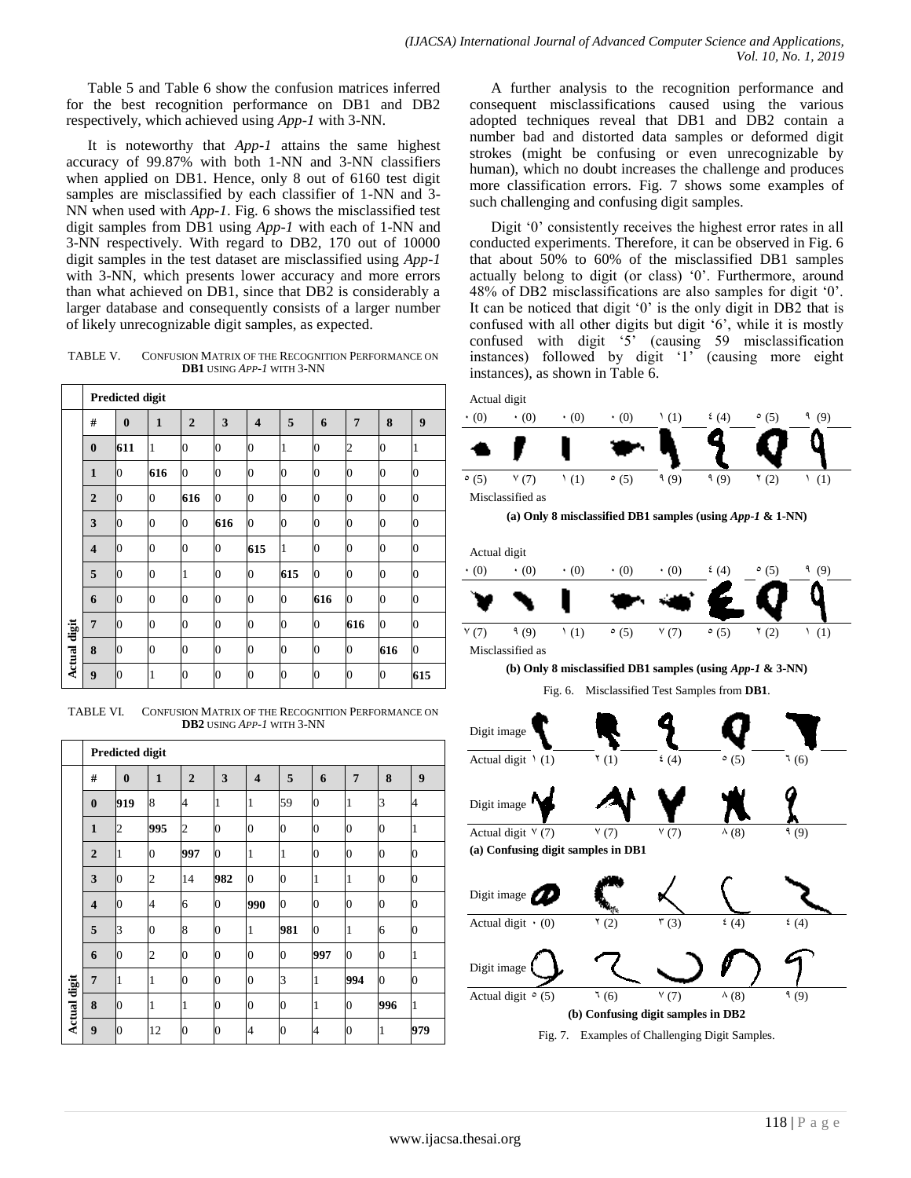Table 5 and Table 6 show the confusion matrices inferred for the best recognition performance on DB1 and DB2 respectively, which achieved using *App-1* with 3-NN.

It is noteworthy that *App-1* attains the same highest accuracy of 99.87% with both 1-NN and 3-NN classifiers when applied on DB1. Hence, only 8 out of 6160 test digit samples are misclassified by each classifier of 1-NN and 3- NN when used with *App-1*. Fig. 6 shows the misclassified test digit samples from DB1 using *App-1* with each of 1-NN and 3-NN respectively. With regard to DB2, 170 out of 10000 digit samples in the test dataset are misclassified using *App-1* with 3-NN, which presents lower accuracy and more errors than what achieved on DB1, since that DB2 is considerably a larger database and consequently consists of a larger number of likely unrecognizable digit samples, as expected.

TABLE V. CONFUSION MATRIX OF THE RECOGNITION PERFORMANCE ON **DB1** USING *APP-1* WITH 3-NN

|              | <b>Predicted digit</b>  |                 |                |                |                |                         |                |                |                  |                  |                |
|--------------|-------------------------|-----------------|----------------|----------------|----------------|-------------------------|----------------|----------------|------------------|------------------|----------------|
|              | #                       | $\bf{0}$        | $\mathbf{1}$   | $\overline{2}$ | 3              | $\overline{\mathbf{4}}$ | 5              | 6              | $\overline{7}$   | 8                | 9              |
|              | $\bf{0}$                | 611             | 1              | $\overline{0}$ | $\overline{0}$ | $\boldsymbol{0}$        |                | $\overline{0}$ | $\overline{c}$   | $\mathbf{0}$     | 1              |
|              | $\mathbf{1}$            | $\vert 0 \vert$ | 616            | $\overline{0}$ | $\mathbf{0}$   | $\overline{0}$          | 0              | 0              | $\overline{0}$   | $\boldsymbol{0}$ | 0              |
|              | $\overline{2}$          | 0               | $\overline{0}$ | 616            | $\overline{0}$ | $\overline{0}$          | $\Omega$       | $\overline{0}$ | $\overline{0}$   | $\overline{0}$   | $\overline{0}$ |
|              | 3                       | $\overline{0}$  | $\overline{0}$ | $\overline{0}$ | 616            | $\overline{0}$          | 0              | $\overline{0}$ | $\overline{0}$   | $\overline{0}$   | $\overline{0}$ |
|              | $\overline{\mathbf{4}}$ | $\overline{0}$  | $\overline{0}$ | $\Omega$       | $\overline{0}$ | 615                     | 1              | $\Omega$       | $\overline{0}$   | $\overline{0}$   | $\Omega$       |
|              | 5                       | $\overline{0}$  | $\overline{0}$ | 1              | $\overline{0}$ | $\overline{0}$          | 615            | $\overline{0}$ | $\overline{0}$   | $\overline{0}$   | $\overline{0}$ |
|              | 6                       | 0               | $\overline{0}$ | $\overline{0}$ | $\overline{0}$ | $\overline{0}$          | 0              | 616            | $\overline{0}$   | $\overline{0}$   | $\overline{0}$ |
|              | $\overline{7}$          | $\vert 0 \vert$ | $\overline{0}$ | $\overline{0}$ | $\overline{0}$ | $\overline{0}$          | $\Omega$       | $\overline{0}$ | 616              | $\bf{0}$         | $\overline{0}$ |
| Actual digit | 8                       | 0               | $\overline{0}$ | $\Omega$       | $\overline{0}$ | $\overline{0}$          | $\Omega$       | $\Omega$       | $\overline{0}$   | 616              | $\overline{0}$ |
|              | 9                       | 0               | 1              | $\overline{0}$ | $\mathbf{0}$   | $\overline{0}$          | $\overline{0}$ | $\overline{0}$ | $\boldsymbol{0}$ | $\mathbf{0}$     | 615            |

TABLE VI. CONFUSION MATRIX OF THE RECOGNITION PERFORMANCE ON **DB2** USING *APP-1* WITH 3-NN

|              | <b>Predicted digit</b>  |                |                |                |                |                         |                |                |                |                |                |
|--------------|-------------------------|----------------|----------------|----------------|----------------|-------------------------|----------------|----------------|----------------|----------------|----------------|
|              | #                       | $\bf{0}$       | $\mathbf{1}$   | $\overline{2}$ | 3              | $\overline{\mathbf{4}}$ | 5              | 6              | $\overline{7}$ | 8              | 9              |
|              | $\bf{0}$                | 919            | 8              | 4              | 1              | 1                       | 59             | $\overline{0}$ | 1              | 3              | $\overline{4}$ |
|              | $\mathbf{1}$            | $\overline{c}$ | 995            | $\overline{c}$ | $\overline{0}$ | $\overline{0}$          | $\overline{0}$ | 0              | $\Omega$       | $\overline{0}$ | 1              |
|              | $\overline{2}$          | 1              | $\overline{0}$ | 997            | $\overline{0}$ | 1                       | 1              | 0              | $\Omega$       | $\overline{0}$ | $\overline{0}$ |
|              | 3                       | 0              | $\overline{c}$ | 14             | 982            | $\overline{0}$          | 0              | 1              | 1              | $\Omega$       | $\overline{0}$ |
|              | $\overline{\mathbf{4}}$ | $\Omega$       | 4              | 6              | $\overline{0}$ | 990                     | $\overline{0}$ | 0              | $\Omega$       | $\overline{0}$ | $\overline{0}$ |
|              | 5                       | 3              | $\overline{0}$ | 8              | $\overline{0}$ | 1                       | 981            | 0              |                | 6              | $\overline{0}$ |
|              | 6                       | $\overline{0}$ | $\overline{c}$ | $\overline{0}$ | $\overline{0}$ | $\overline{0}$          | $\overline{0}$ | 997            | $\overline{0}$ | $\overline{0}$ | 1              |
|              | $\overline{7}$          | 1              | 1              | $\overline{0}$ | $\overline{0}$ | $\overline{0}$          | 3              | 1              | 994            | $\overline{0}$ | $\overline{0}$ |
| Actual digit | 8                       | Ю              | 1              | 1              | $\overline{0}$ | $\overline{0}$          | $\overline{0}$ | 1              | $\theta$       | 996            | 1              |
|              | 9                       | $\overline{0}$ | 12             | $\overline{0}$ | $\overline{0}$ | 4                       | $\overline{0}$ | 4              | $\overline{0}$ | $\mathbf{1}$   | 979            |

A further analysis to the recognition performance and consequent misclassifications caused using the various adopted techniques reveal that DB1 and DB2 contain a number bad and distorted data samples or deformed digit strokes (might be confusing or even unrecognizable by human), which no doubt increases the challenge and produces more classification errors. Fig. 7 shows some examples of such challenging and confusing digit samples.

Digit '0' consistently receives the highest error rates in all conducted experiments. Therefore, it can be observed in Fig. 6 that about 50% to 60% of the misclassified DB1 samples actually belong to digit (or class) '0'. Furthermore, around 48% of DB2 misclassifications are also samples for digit "0". It can be noticed that digit "0" is the only digit in DB2 that is confused with all other digits but digit '6', while it is mostly confused with digit '5' (causing 59 misclassification instances) followed by digit '1' (causing more eight instances), as shown in Table 6.



**(a) Only 8 misclassified DB1 samples (using** *App-1* **& 1-NN)**



Fig. 7. Examples of Challenging Digit Samples.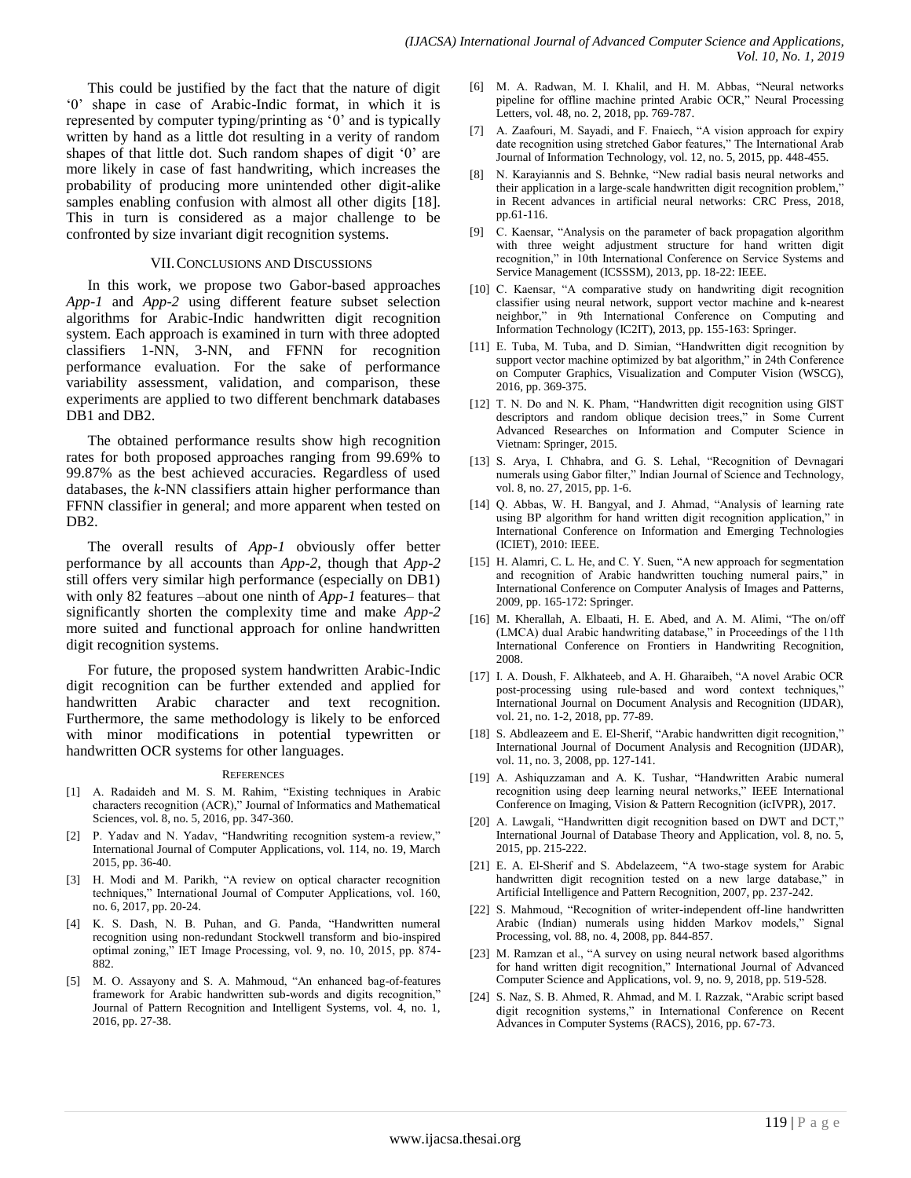This could be justified by the fact that the nature of digit "0" shape in case of Arabic-Indic format, in which it is represented by computer typing/printing as "0" and is typically written by hand as a little dot resulting in a verity of random shapes of that little dot. Such random shapes of digit '0' are more likely in case of fast handwriting, which increases the probability of producing more unintended other digit-alike samples enabling confusion with almost all other digits [18]. This in turn is considered as a major challenge to be confronted by size invariant digit recognition systems.

#### VII.CONCLUSIONS AND DISCUSSIONS

In this work, we propose two Gabor-based approaches *App-1* and *App-2* using different feature subset selection algorithms for Arabic-Indic handwritten digit recognition system. Each approach is examined in turn with three adopted classifiers 1-NN, 3-NN, and FFNN for recognition performance evaluation. For the sake of performance variability assessment, validation, and comparison, these experiments are applied to two different benchmark databases DB1 and DB2.

The obtained performance results show high recognition rates for both proposed approaches ranging from 99.69% to 99.87% as the best achieved accuracies. Regardless of used databases, the *k*-NN classifiers attain higher performance than FFNN classifier in general; and more apparent when tested on DB2.

The overall results of *App-1* obviously offer better performance by all accounts than *App-2*, though that *App-2* still offers very similar high performance (especially on DB1) with only 82 features –about one ninth of *App-1* features– that significantly shorten the complexity time and make *App-2* more suited and functional approach for online handwritten digit recognition systems.

For future, the proposed system handwritten Arabic-Indic digit recognition can be further extended and applied for handwritten Arabic character and text recognition. Furthermore, the same methodology is likely to be enforced with minor modifications in potential typewritten or handwritten OCR systems for other languages.

#### **REFERENCES**

- [1] A. Radaideh and M. S. M. Rahim, "Existing techniques in Arabic characters recognition (ACR)," Journal of Informatics and Mathematical Sciences, vol. 8, no. 5, 2016, pp. 347-360.
- [2] P. Yadav and N. Yadav, "Handwriting recognition system-a review," International Journal of Computer Applications, vol. 114, no. 19, March 2015, pp. 36-40.
- [3] H. Modi and M. Parikh, "A review on optical character recognition techniques," International Journal of Computer Applications, vol. 160, no. 6, 2017, pp. 20-24.
- [4] K. S. Dash, N. B. Puhan, and G. Panda, "Handwritten numeral recognition using non-redundant Stockwell transform and bio-inspired optimal zoning," IET Image Processing, vol. 9, no. 10, 2015, pp. 874- 882.
- [5] M. O. Assayony and S. A. Mahmoud, "An enhanced bag-of-features framework for Arabic handwritten sub-words and digits recognition," Journal of Pattern Recognition and Intelligent Systems, vol. 4, no. 1, 2016, pp. 27-38.
- [6] M. A. Radwan, M. I. Khalil, and H. M. Abbas, "Neural networks pipeline for offline machine printed Arabic OCR," Neural Processing Letters, vol. 48, no. 2, 2018, pp. 769-787.
- [7] A. Zaafouri, M. Sayadi, and F. Fnaiech, "A vision approach for expiry date recognition using stretched Gabor features," The International Arab Journal of Information Technology, vol. 12, no. 5, 2015, pp. 448-455.
- [8] N. Karayiannis and S. Behnke, "New radial basis neural networks and their application in a large-scale handwritten digit recognition problem," in Recent advances in artificial neural networks: CRC Press, 2018, pp.61-116.
- [9] C. Kaensar, "Analysis on the parameter of back propagation algorithm with three weight adjustment structure for hand written digit recognition," in 10th International Conference on Service Systems and Service Management (ICSSSM), 2013, pp. 18-22: IEEE.
- [10] C. Kaensar, "A comparative study on handwriting digit recognition classifier using neural network, support vector machine and k-nearest neighbor," in 9th International Conference on Computing and Information Technology (IC2IT), 2013, pp. 155-163: Springer.
- [11] E. Tuba, M. Tuba, and D. Simian, "Handwritten digit recognition by support vector machine optimized by bat algorithm," in 24th Conference on Computer Graphics, Visualization and Computer Vision (WSCG), 2016, pp. 369-375.
- [12] T. N. Do and N. K. Pham, "Handwritten digit recognition using GIST descriptors and random oblique decision trees," in Some Current Advanced Researches on Information and Computer Science in Vietnam: Springer, 2015.
- [13] S. Arya, I. Chhabra, and G. S. Lehal, "Recognition of Devnagari numerals using Gabor filter," Indian Journal of Science and Technology, vol. 8, no. 27, 2015, pp. 1-6.
- [14] Q. Abbas, W. H. Bangyal, and J. Ahmad, "Analysis of learning rate using BP algorithm for hand written digit recognition application," in International Conference on Information and Emerging Technologies (ICIET), 2010: IEEE.
- [15] H. Alamri, C. L. He, and C. Y. Suen, "A new approach for segmentation and recognition of Arabic handwritten touching numeral pairs," in International Conference on Computer Analysis of Images and Patterns, 2009, pp. 165-172: Springer.
- [16] M. Kherallah, A. Elbaati, H. E. Abed, and A. M. Alimi, "The on/off (LMCA) dual Arabic handwriting database," in Proceedings of the 11th International Conference on Frontiers in Handwriting Recognition, 2008.
- [17] I. A. Doush, F. Alkhateeb, and A. H. Gharaibeh, "A novel Arabic OCR post-processing using rule-based and word context techniques," International Journal on Document Analysis and Recognition (IJDAR), vol. 21, no. 1-2, 2018, pp. 77-89.
- [18] S. Abdleazeem and E. El-Sherif, "Arabic handwritten digit recognition," International Journal of Document Analysis and Recognition (IJDAR), vol. 11, no. 3, 2008, pp. 127-141.
- [19] A. Ashiquzzaman and A. K. Tushar, "Handwritten Arabic numeral recognition using deep learning neural networks," IEEE International Conference on Imaging, Vision & Pattern Recognition (icIVPR), 2017.
- [20] A. Lawgali, "Handwritten digit recognition based on DWT and DCT," International Journal of Database Theory and Application, vol. 8, no. 5, 2015, pp. 215-222.
- [21] E. A. El-Sherif and S. Abdelazeem, "A two-stage system for Arabic handwritten digit recognition tested on a new large database," in Artificial Intelligence and Pattern Recognition, 2007, pp. 237-242.
- [22] S. Mahmoud, "Recognition of writer-independent off-line handwritten Arabic (Indian) numerals using hidden Markov models," Signal Processing, vol. 88, no. 4, 2008, pp. 844-857.
- [23] M. Ramzan et al., "A survey on using neural network based algorithms for hand written digit recognition," International Journal of Advanced Computer Science and Applications, vol. 9, no. 9, 2018, pp. 519-528.
- [24] S. Naz, S. B. Ahmed, R. Ahmad, and M. I. Razzak, "Arabic script based digit recognition systems," in International Conference on Recent Advances in Computer Systems (RACS), 2016, pp. 67-73.